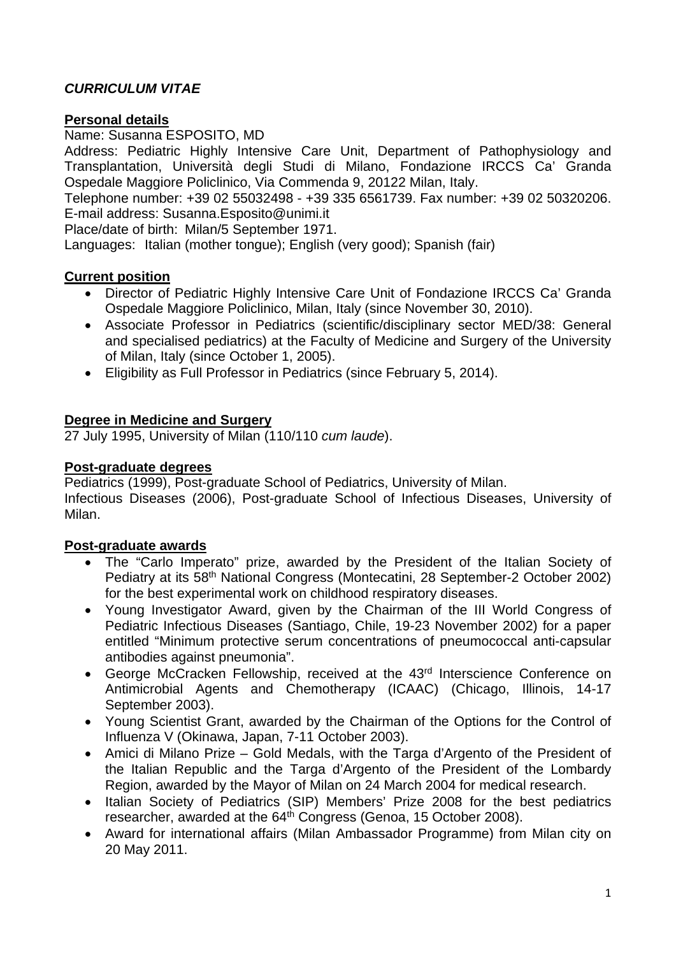## *CURRICULUM VITAE*

#### **Personal details**

Name: Susanna ESPOSITO, MD

Address: Pediatric Highly Intensive Care Unit, Department of Pathophysiology and Transplantation, Università degli Studi di Milano, Fondazione IRCCS Ca' Granda Ospedale Maggiore Policlinico, Via Commenda 9, 20122 Milan, Italy.

Telephone number: +39 02 55032498 - +39 335 6561739. Fax number: +39 02 50320206. E-mail address: Susanna.Esposito@unimi.it

Place/date of birth: Milan/5 September 1971.

Languages: Italian (mother tongue); English (very good); Spanish (fair)

### **Current position**

- Director of Pediatric Highly Intensive Care Unit of Fondazione IRCCS Ca' Granda Ospedale Maggiore Policlinico, Milan, Italy (since November 30, 2010).
- Associate Professor in Pediatrics (scientific/disciplinary sector MED/38: General and specialised pediatrics) at the Faculty of Medicine and Surgery of the University of Milan, Italy (since October 1, 2005).
- Eligibility as Full Professor in Pediatrics (since February 5, 2014).

### **Degree in Medicine and Surgery**

27 July 1995, University of Milan (110/110 *cum laude*).

### **Post-graduate degrees**

Pediatrics (1999), Post-graduate School of Pediatrics, University of Milan. Infectious Diseases (2006), Post-graduate School of Infectious Diseases, University of Milan.

#### **Post-graduate awards**

- The "Carlo Imperato" prize, awarded by the President of the Italian Society of Pediatry at its 58th National Congress (Montecatini, 28 September-2 October 2002) for the best experimental work on childhood respiratory diseases.
- Young Investigator Award, given by the Chairman of the III World Congress of Pediatric Infectious Diseases (Santiago, Chile, 19-23 November 2002) for a paper entitled "Minimum protective serum concentrations of pneumococcal anti-capsular antibodies against pneumonia".
- George McCracken Fellowship, received at the 43<sup>rd</sup> Interscience Conference on Antimicrobial Agents and Chemotherapy (ICAAC) (Chicago, Illinois, 14-17 September 2003).
- Young Scientist Grant, awarded by the Chairman of the Options for the Control of Influenza V (Okinawa, Japan, 7-11 October 2003).
- Amici di Milano Prize Gold Medals, with the Targa d'Argento of the President of the Italian Republic and the Targa d'Argento of the President of the Lombardy Region, awarded by the Mayor of Milan on 24 March 2004 for medical research.
- Italian Society of Pediatrics (SIP) Members' Prize 2008 for the best pediatrics researcher, awarded at the 64<sup>th</sup> Congress (Genoa, 15 October 2008).
- Award for international affairs (Milan Ambassador Programme) from Milan city on 20 May 2011.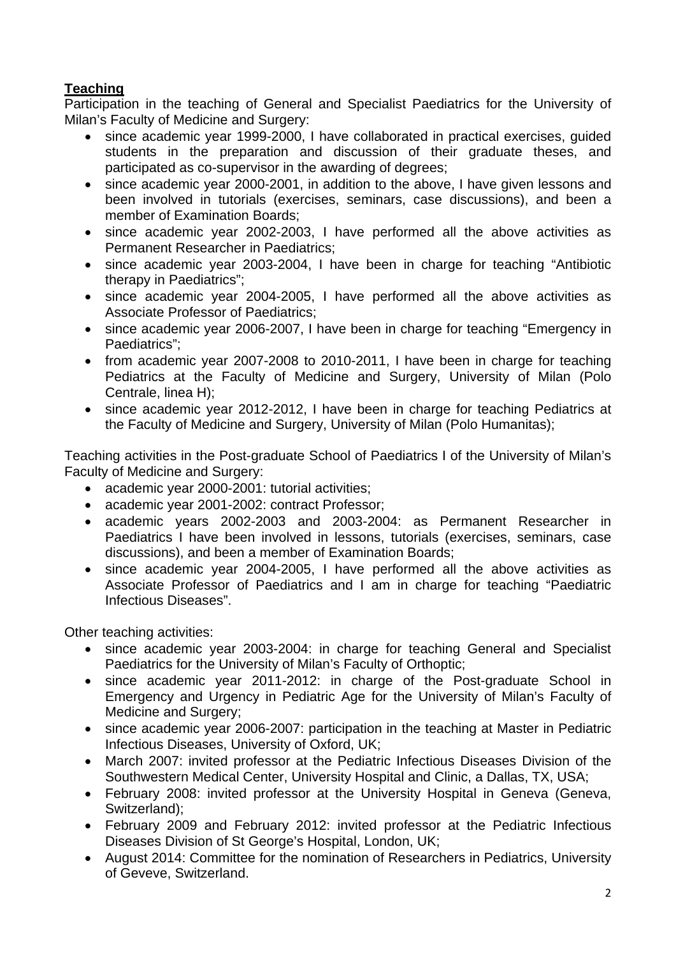# **Teaching**

Participation in the teaching of General and Specialist Paediatrics for the University of Milan's Faculty of Medicine and Surgery:

- since academic year 1999-2000, I have collaborated in practical exercises, guided students in the preparation and discussion of their graduate theses, and participated as co-supervisor in the awarding of degrees;
- since academic year 2000-2001, in addition to the above, I have given lessons and been involved in tutorials (exercises, seminars, case discussions), and been a member of Examination Boards;
- since academic year 2002-2003, I have performed all the above activities as Permanent Researcher in Paediatrics;
- since academic year 2003-2004, I have been in charge for teaching "Antibiotic therapy in Paediatrics";
- since academic year 2004-2005, I have performed all the above activities as Associate Professor of Paediatrics;
- since academic year 2006-2007, I have been in charge for teaching "Emergency in Paediatrics";
- from academic year 2007-2008 to 2010-2011, I have been in charge for teaching Pediatrics at the Faculty of Medicine and Surgery, University of Milan (Polo Centrale, linea H);
- since academic year 2012-2012, I have been in charge for teaching Pediatrics at the Faculty of Medicine and Surgery, University of Milan (Polo Humanitas);

Teaching activities in the Post-graduate School of Paediatrics I of the University of Milan's Faculty of Medicine and Surgery:

- academic year 2000-2001: tutorial activities;
- academic year 2001-2002: contract Professor;
- academic years 2002-2003 and 2003-2004: as Permanent Researcher in Paediatrics I have been involved in lessons, tutorials (exercises, seminars, case discussions), and been a member of Examination Boards;
- since academic year 2004-2005, I have performed all the above activities as Associate Professor of Paediatrics and I am in charge for teaching "Paediatric Infectious Diseases".

Other teaching activities:

- since academic year 2003-2004: in charge for teaching General and Specialist Paediatrics for the University of Milan's Faculty of Orthoptic;
- since academic year 2011-2012: in charge of the Post-graduate School in Emergency and Urgency in Pediatric Age for the University of Milan's Faculty of Medicine and Surgery;
- since academic year 2006-2007: participation in the teaching at Master in Pediatric Infectious Diseases, University of Oxford, UK;
- March 2007: invited professor at the Pediatric Infectious Diseases Division of the Southwestern Medical Center, University Hospital and Clinic, a Dallas, TX, USA;
- February 2008: invited professor at the University Hospital in Geneva (Geneva, Switzerland);
- February 2009 and February 2012: invited professor at the Pediatric Infectious Diseases Division of St George's Hospital, London, UK;
- August 2014: Committee for the nomination of Researchers in Pediatrics, University of Geveve, Switzerland.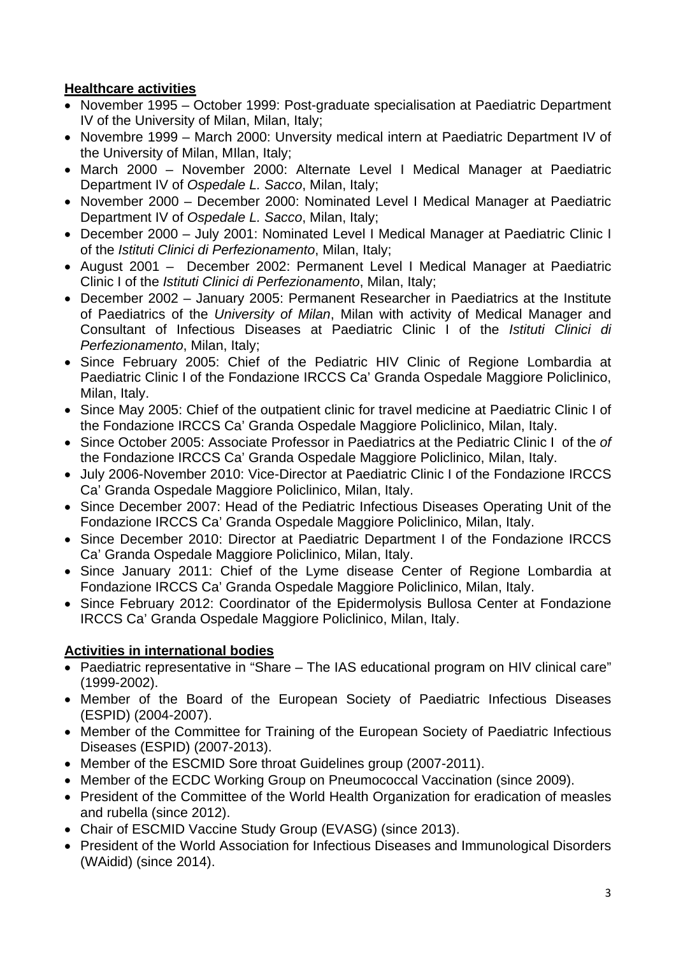# **Healthcare activities**

- November 1995 October 1999: Post-graduate specialisation at Paediatric Department IV of the University of Milan, Milan, Italy;
- Novembre 1999 March 2000: Unversity medical intern at Paediatric Department IV of the University of Milan, MIlan, Italy;
- March 2000 November 2000: Alternate Level I Medical Manager at Paediatric Department IV of *Ospedale L. Sacco*, Milan, Italy;
- November 2000 December 2000: Nominated Level I Medical Manager at Paediatric Department IV of *Ospedale L. Sacco*, Milan, Italy;
- December 2000 July 2001: Nominated Level I Medical Manager at Paediatric Clinic I of the *Istituti Clinici di Perfezionamento*, Milan, Italy;
- August 2001 December 2002: Permanent Level I Medical Manager at Paediatric Clinic I of the *Istituti Clinici di Perfezionamento*, Milan, Italy;
- December 2002 January 2005: Permanent Researcher in Paediatrics at the Institute of Paediatrics of the *University of Milan*, Milan with activity of Medical Manager and Consultant of Infectious Diseases at Paediatric Clinic I of the *Istituti Clinici di Perfezionamento*, Milan, Italy;
- Since February 2005: Chief of the Pediatric HIV Clinic of Regione Lombardia at Paediatric Clinic I of the Fondazione IRCCS Ca' Granda Ospedale Maggiore Policlinico, Milan, Italy.
- Since May 2005: Chief of the outpatient clinic for travel medicine at Paediatric Clinic I of the Fondazione IRCCS Ca' Granda Ospedale Maggiore Policlinico, Milan, Italy.
- Since October 2005: Associate Professor in Paediatrics at the Pediatric Clinic I of the *of*  the Fondazione IRCCS Ca' Granda Ospedale Maggiore Policlinico, Milan, Italy.
- July 2006-November 2010: Vice-Director at Paediatric Clinic I of the Fondazione IRCCS Ca' Granda Ospedale Maggiore Policlinico, Milan, Italy.
- Since December 2007: Head of the Pediatric Infectious Diseases Operating Unit of the Fondazione IRCCS Ca' Granda Ospedale Maggiore Policlinico, Milan, Italy.
- Since December 2010: Director at Paediatric Department I of the Fondazione IRCCS Ca' Granda Ospedale Maggiore Policlinico, Milan, Italy.
- Since January 2011: Chief of the Lyme disease Center of Regione Lombardia at Fondazione IRCCS Ca' Granda Ospedale Maggiore Policlinico, Milan, Italy.
- Since February 2012: Coordinator of the Epidermolysis Bullosa Center at Fondazione IRCCS Ca' Granda Ospedale Maggiore Policlinico, Milan, Italy.

# **Activities in international bodies**

- Paediatric representative in "Share The IAS educational program on HIV clinical care" (1999-2002).
- Member of the Board of the European Society of Paediatric Infectious Diseases (ESPID) (2004-2007).
- Member of the Committee for Training of the European Society of Paediatric Infectious Diseases (ESPID) (2007-2013).
- Member of the ESCMID Sore throat Guidelines group (2007-2011).
- Member of the ECDC Working Group on Pneumococcal Vaccination (since 2009).
- President of the Committee of the World Health Organization for eradication of measles and rubella (since 2012).
- Chair of ESCMID Vaccine Study Group (EVASG) (since 2013).
- President of the World Association for Infectious Diseases and Immunological Disorders (WAidid) (since 2014).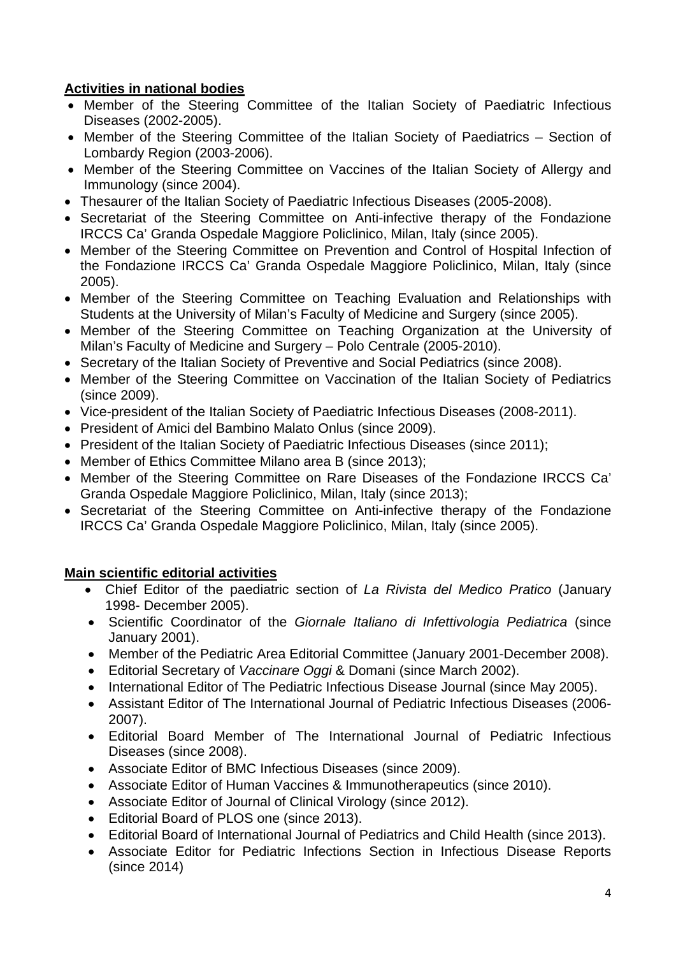# **Activities in national bodies**

- Member of the Steering Committee of the Italian Society of Paediatric Infectious Diseases (2002-2005).
- Member of the Steering Committee of the Italian Society of Paediatrics Section of Lombardy Region (2003-2006).
- Member of the Steering Committee on Vaccines of the Italian Society of Allergy and Immunology (since 2004).
- Thesaurer of the Italian Society of Paediatric Infectious Diseases (2005-2008).
- Secretariat of the Steering Committee on Anti-infective therapy of the Fondazione IRCCS Ca' Granda Ospedale Maggiore Policlinico, Milan, Italy (since 2005).
- Member of the Steering Committee on Prevention and Control of Hospital Infection of the Fondazione IRCCS Ca' Granda Ospedale Maggiore Policlinico, Milan, Italy (since 2005).
- Member of the Steering Committee on Teaching Evaluation and Relationships with Students at the University of Milan's Faculty of Medicine and Surgery (since 2005).
- Member of the Steering Committee on Teaching Organization at the University of Milan's Faculty of Medicine and Surgery – Polo Centrale (2005-2010).
- Secretary of the Italian Society of Preventive and Social Pediatrics (since 2008).
- Member of the Steering Committee on Vaccination of the Italian Society of Pediatrics (since 2009).
- Vice-president of the Italian Society of Paediatric Infectious Diseases (2008-2011).
- President of Amici del Bambino Malato Onlus (since 2009).
- President of the Italian Society of Paediatric Infectious Diseases (since 2011);
- Member of Ethics Committee Milano area B (since 2013);
- Member of the Steering Committee on Rare Diseases of the Fondazione IRCCS Ca' Granda Ospedale Maggiore Policlinico, Milan, Italy (since 2013);
- Secretariat of the Steering Committee on Anti-infective therapy of the Fondazione IRCCS Ca' Granda Ospedale Maggiore Policlinico, Milan, Italy (since 2005).

# **Main scientific editorial activities**

- Chief Editor of the paediatric section of *La Rivista del Medico Pratico* (January 1998- December 2005).
- Scientific Coordinator of the *Giornale Italiano di Infettivologia Pediatrica* (since January 2001).
- Member of the Pediatric Area Editorial Committee (January 2001-December 2008).
- Editorial Secretary of *Vaccinare Oggi* & Domani (since March 2002).
- International Editor of The Pediatric Infectious Disease Journal (since May 2005).
- Assistant Editor of The International Journal of Pediatric Infectious Diseases (2006- 2007).
- Editorial Board Member of The International Journal of Pediatric Infectious Diseases (since 2008).
- Associate Editor of BMC Infectious Diseases (since 2009).
- Associate Editor of Human Vaccines & Immunotherapeutics (since 2010).
- Associate Editor of Journal of Clinical Virology (since 2012).
- Editorial Board of PLOS one (since 2013).
- Editorial Board of International Journal of Pediatrics and Child Health (since 2013).
- Associate Editor for Pediatric Infections Section in Infectious Disease Reports (since 2014)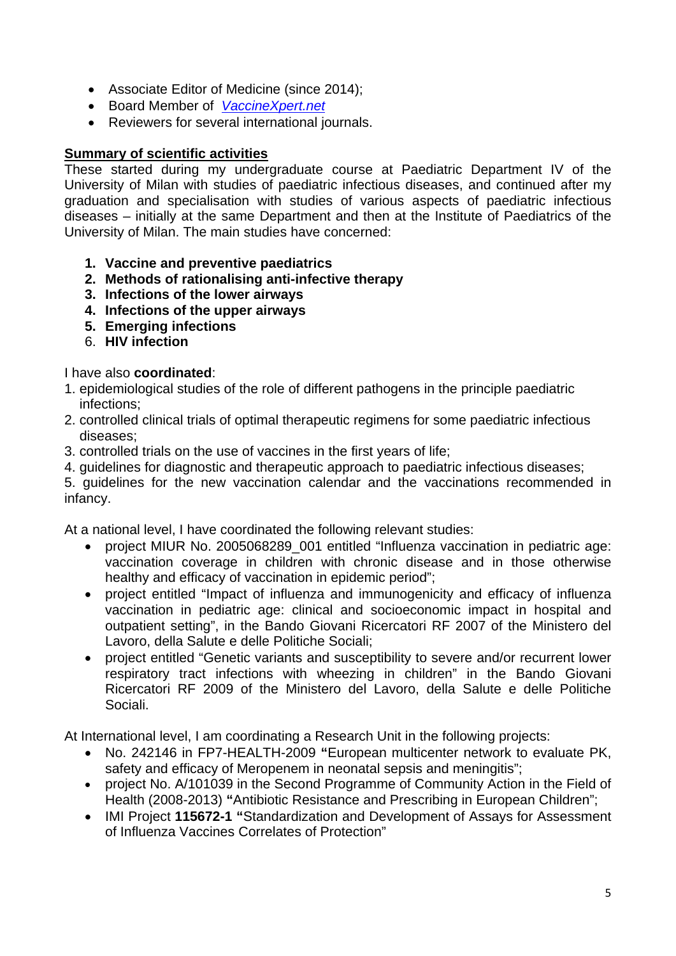- Associate Editor of Medicine (since 2014);
- Board Member of *VaccineXpert.net*
- Reviewers for several international journals.

## **Summary of scientific activities**

These started during my undergraduate course at Paediatric Department IV of the University of Milan with studies of paediatric infectious diseases, and continued after my graduation and specialisation with studies of various aspects of paediatric infectious diseases – initially at the same Department and then at the Institute of Paediatrics of the University of Milan. The main studies have concerned:

- **1. Vaccine and preventive paediatrics**
- **2. Methods of rationalising anti-infective therapy**
- **3. Infections of the lower airways**
- **4. Infections of the upper airways**
- **5. Emerging infections**
- 6. **HIV infection**

### I have also **coordinated**:

- 1. epidemiological studies of the role of different pathogens in the principle paediatric infections;
- 2. controlled clinical trials of optimal therapeutic regimens for some paediatric infectious diseases;
- 3. controlled trials on the use of vaccines in the first years of life;
- 4. guidelines for diagnostic and therapeutic approach to paediatric infectious diseases;

5. guidelines for the new vaccination calendar and the vaccinations recommended in infancy.

At a national level, I have coordinated the following relevant studies:

- project MIUR No. 2005068289\_001 entitled "Influenza vaccination in pediatric age: vaccination coverage in children with chronic disease and in those otherwise healthy and efficacy of vaccination in epidemic period";
- project entitled "Impact of influenza and immunogenicity and efficacy of influenza vaccination in pediatric age: clinical and socioeconomic impact in hospital and outpatient setting", in the Bando Giovani Ricercatori RF 2007 of the Ministero del Lavoro, della Salute e delle Politiche Sociali;
- project entitled "Genetic variants and susceptibility to severe and/or recurrent lower respiratory tract infections with wheezing in children" in the Bando Giovani Ricercatori RF 2009 of the Ministero del Lavoro, della Salute e delle Politiche Sociali.

At International level, I am coordinating a Research Unit in the following projects:

- No. 242146 in FP7-HEALTH-2009 **"**European multicenter network to evaluate PK, safety and efficacy of Meropenem in neonatal sepsis and meningitis";
- project No. A/101039 in the Second Programme of Community Action in the Field of Health (2008-2013) **"**Antibiotic Resistance and Prescribing in European Children";
- IMI Project **115672-1 "**Standardization and Development of Assays for Assessment of Influenza Vaccines Correlates of Protection"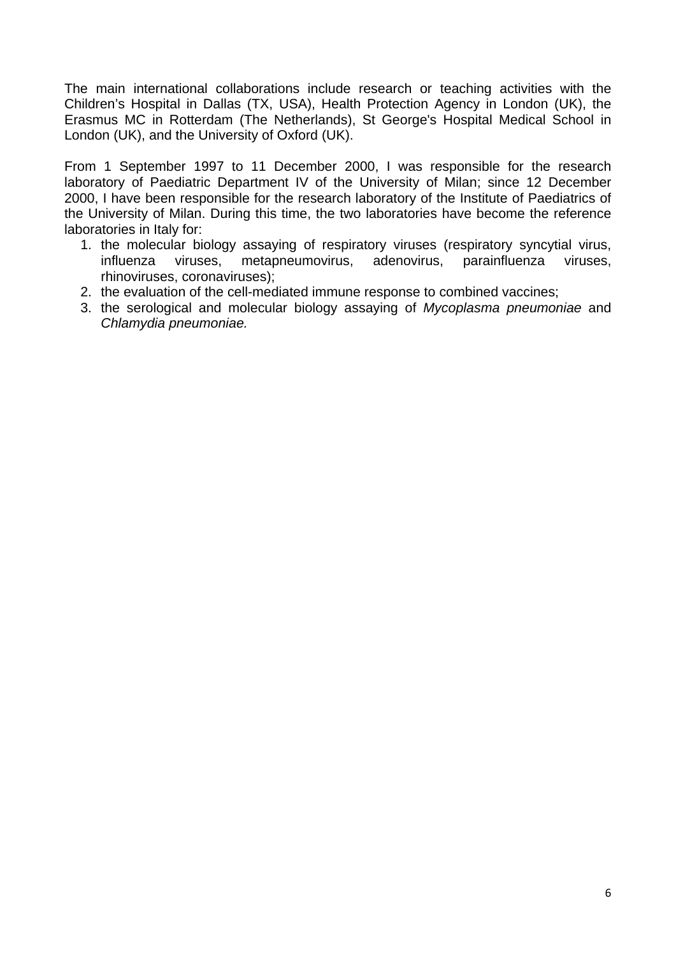The main international collaborations include research or teaching activities with the Children's Hospital in Dallas (TX, USA), Health Protection Agency in London (UK), the Erasmus MC in Rotterdam (The Netherlands), St George's Hospital Medical School in London (UK), and the University of Oxford (UK).

From 1 September 1997 to 11 December 2000, I was responsible for the research laboratory of Paediatric Department IV of the University of Milan; since 12 December 2000, I have been responsible for the research laboratory of the Institute of Paediatrics of the University of Milan. During this time, the two laboratories have become the reference laboratories in Italy for:

- 1. the molecular biology assaying of respiratory viruses (respiratory syncytial virus, influenza viruses, metapneumovirus, adenovirus, parainfluenza viruses, rhinoviruses, coronaviruses);
- 2. the evaluation of the cell-mediated immune response to combined vaccines;
- 3. the serological and molecular biology assaying of *Mycoplasma pneumoniae* and *Chlamydia pneumoniae.*